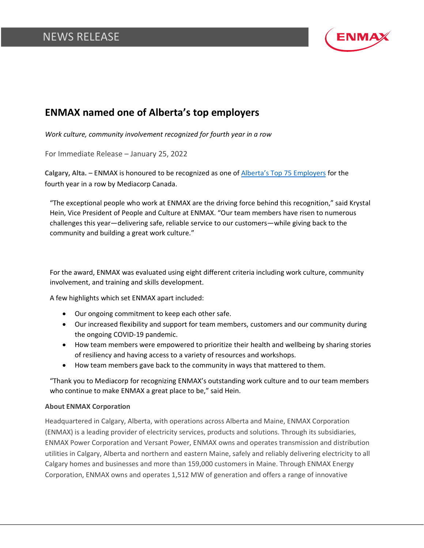## NEWS RELEASE



## **ENMAX named one of Alberta's top employers**

*Work culture, community involvement recognized for fourth year in a row*

For Immediate Release – January 25, 2022

**Calgary, Alta. –** ENMAX is honoured to be recognized as one of [Alberta's Top 7](https://www.canadastop100.com/alberta/)5 Employers for the fourth year in a row by Mediacorp Canada.

"The exceptional people who work at ENMAX are the driving force behind this recognition," said Krystal Hein, Vice President of People and Culture at ENMAX. "Our team members have risen to numerous challenges this year—delivering safe, reliable service to our customers—while giving back to the community and building a great work culture."

For the award, ENMAX was evaluated using eight different criteria including work culture, community involvement, and training and skills development.

A few highlights which set ENMAX apart included:

- Our ongoing commitment to keep each other safe.
- Our increased flexibility and support for team members, customers and our community during the ongoing COVID-19 pandemic.
- How team members were empowered to prioritize their health and wellbeing by sharing stories of resiliency and having access to a variety of resources and workshops.
- How team members gave back to the community in ways that mattered to them.

"Thank you to Mediacorp for recognizing ENMAX's outstanding work culture and to our team members who continue to make ENMAX a great place to be," said Hein.

## **About ENMAX Corporation**

Headquartered in Calgary, Alberta, with operations across Alberta and Maine, ENMAX Corporation (ENMAX) is a leading provider of electricity services, products and solutions. Through its subsidiaries, ENMAX Power Corporation and Versant Power, ENMAX owns and operates transmission and distribution utilities in Calgary, Alberta and northern and eastern Maine, safely and reliably delivering electricity to all Calgary homes and businesses and more than 159,000 customers in Maine. Through ENMAX Energy Corporation, ENMAX owns and operates 1,512 MW of generation and offers a range of innovative